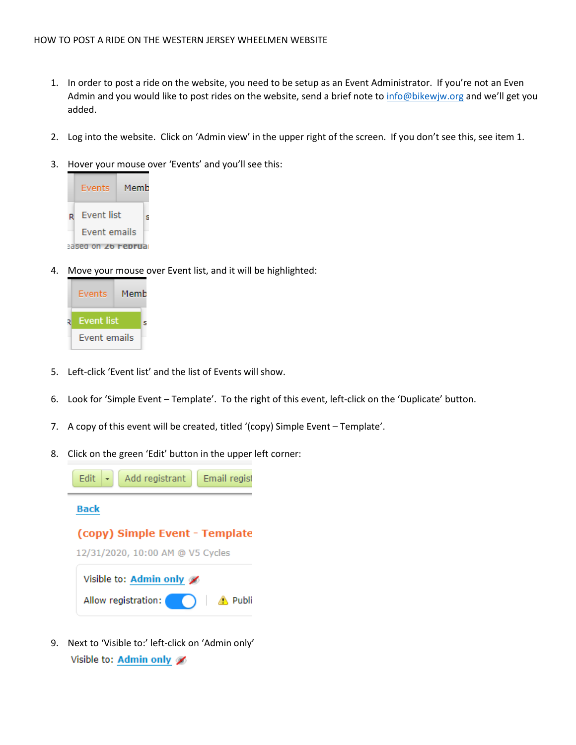- 1. In order to post a ride on the website, you need to be setup as an Event Administrator. If you're not an Even Admin and you would like to post rides on the website, send a brief note to<info@bikewjw.org> and we'll get you added.
- 2. Log into the website. Click on 'Admin view' in the upper right of the screen. If you don't see this, see item 1.
- 3. Hover your mouse over 'Events' and you'll see this:



4. Move your mouse over Event list, and it will be highlighted:



- 5. Left-click 'Event list' and the list of Events will show.
- 6. Look for 'Simple Event Template'. To the right of this event, left-click on the 'Duplicate' button.
- 7. A copy of this event will be created, titled '(copy) Simple Event Template'.
- 8. Click on the green 'Edit' button in the upper left corner:



9. Next to 'Visible to:' left-click on 'Admin only'Visible to: Admin only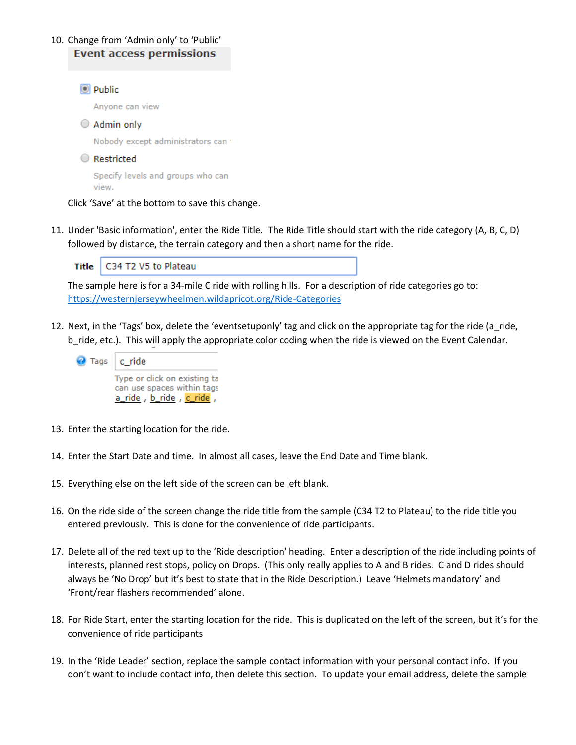## 10. Change from 'Admin only' to 'Public' **Event access permissions**



Click 'Save' at the bottom to save this change.

11. Under 'Basic information', enter the Ride Title. The Ride Title should start with the ride category (A, B, C, D) followed by distance, the terrain category and then a short name for the ride.

| Title   C34 T2 V5 to Plateau |
|------------------------------|
|                              |

The sample here is for a 34-mile C ride with rolling hills. For a description of ride categories go to: <https://westernjerseywheelmen.wildapricot.org/Ride-Categories>

12. Next, in the 'Tags' box, delete the 'eventsetuponly' tag and click on the appropriate tag for the ride (a ride, b\_ride, etc.). This will apply the appropriate color coding when the ride is viewed on the Event Calendar.

| Tags   c_ride |                                                       |  |  |
|---------------|-------------------------------------------------------|--|--|
|               | Type or click on existing ta                          |  |  |
|               | can use spaces within tags<br>a_ride, b_ride, c_ride, |  |  |

- 13. Enter the starting location for the ride.
- 14. Enter the Start Date and time. In almost all cases, leave the End Date and Time blank.
- 15. Everything else on the left side of the screen can be left blank.
- 16. On the ride side of the screen change the ride title from the sample (C34 T2 to Plateau) to the ride title you entered previously. This is done for the convenience of ride participants.
- 17. Delete all of the red text up to the 'Ride description' heading. Enter a description of the ride including points of interests, planned rest stops, policy on Drops. (This only really applies to A and B rides. C and D rides should always be 'No Drop' but it's best to state that in the Ride Description.) Leave 'Helmets mandatory' and 'Front/rear flashers recommended' alone.
- 18. For Ride Start, enter the starting location for the ride. This is duplicated on the left of the screen, but it's for the convenience of ride participants
- 19. In the 'Ride Leader' section, replace the sample contact information with your personal contact info. If you don't want to include contact info, then delete this section. To update your email address, delete the sample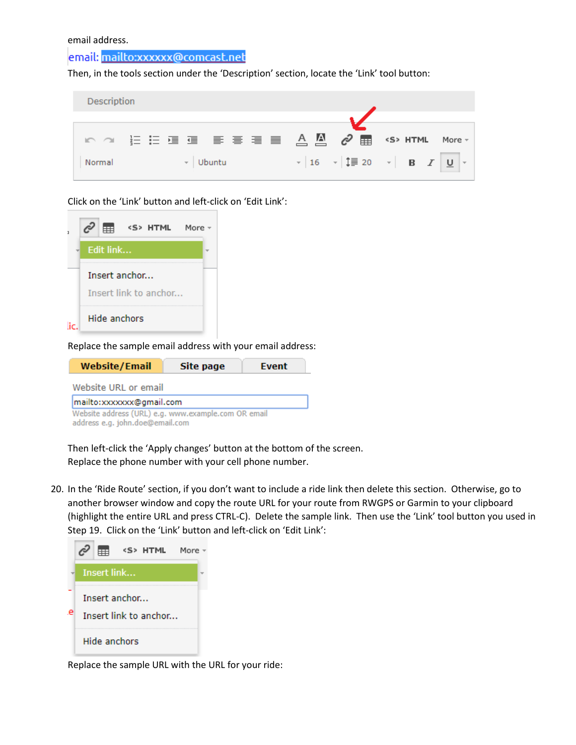email address.

## email: mailto:xxxxxx@comcast.net

Then, in the tools section under the 'Description' section, locate the 'Link' tool button:



Click on the 'Link' button and left-click on 'Edit Link':



Replace the sample email address with your email address:

| <b>Website/Email</b>                                                                   | Site page | <b>Event</b> |  |  |  |
|----------------------------------------------------------------------------------------|-----------|--------------|--|--|--|
| Website URL or email                                                                   |           |              |  |  |  |
| mailto:xxxxxxx@qmail.com                                                               |           |              |  |  |  |
| Website address (URL) e.g. www.example.com OR email<br>address e.g. john.doe@email.com |           |              |  |  |  |

Then left-click the 'Apply changes' button at the bottom of the screen. Replace the phone number with your cell phone number.

20. In the 'Ride Route' section, if you don't want to include a ride link then delete this section. Otherwise, go to another browser window and copy the route URL for your route from RWGPS or Garmin to your clipboard (highlight the entire URL and press CTRL-C). Delete the sample link. Then use the 'Link' tool button you used in Step 19. Click on the 'Link' button and left-click on 'Edit Link':



Replace the sample URL with the URL for your ride: